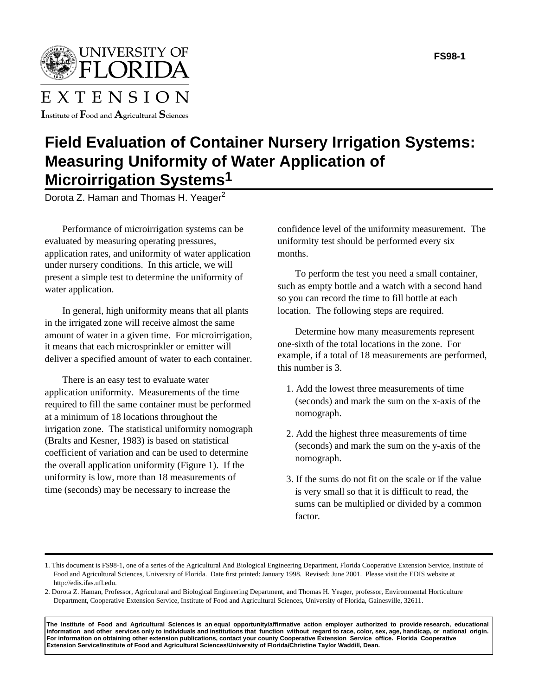UNIVERSITY OF FLORIDA

# EXTENSION

Institute of  $\rm F$ ood and  $\rm A$ gricultural  $\rm S$ ciences

## **Field Evaluation of Container Nursery Irrigation Systems: Measuring Uniformity of Water Application of Microirrigation Systems1**

Dorota Z. Haman and Thomas H. Yeager<sup>2</sup>

Performance of microirrigation systems can be evaluated by measuring operating pressures, application rates, and uniformity of water application under nursery conditions. In this article, we will present a simple test to determine the uniformity of water application.

In general, high uniformity means that all plants in the irrigated zone will receive almost the same amount of water in a given time. For microirrigation, it means that each microsprinkler or emitter will deliver a specified amount of water to each container.

There is an easy test to evaluate water application uniformity. Measurements of the time required to fill the same container must be performed at a minimum of 18 locations throughout the irrigation zone. The statistical uniformity nomograph (Bralts and Kesner, 1983) is based on statistical coefficient of variation and can be used to determine the overall application uniformity (Figure 1). If the uniformity is low, more than 18 measurements of time (seconds) may be necessary to increase the

confidence level of the uniformity measurement. The uniformity test should be performed every six months.

To perform the test you need a small container, such as empty bottle and a watch with a second hand so you can record the time to fill bottle at each location. The following steps are required.

Determine how many measurements represent one-sixth of the total locations in the zone. For example, if a total of 18 measurements are performed, this number is 3.

- 1. Add the lowest three measurements of time (seconds) and mark the sum on the x-axis of the nomograph.
- 2. Add the highest three measurements of time (seconds) and mark the sum on the y-axis of the nomograph.
- 3. If the sums do not fit on the scale or if the value is very small so that it is difficult to read, the sums can be multiplied or divided by a common factor.

**The Institute of Food and Agricultural Sciences is an equal opportunity/affirmative action employer authorized to provide research, educational information and other services only to individuals and institutions that function without regard to race, color, sex, age, handicap, or national origin. For information on obtaining other extension publications, contact your county Cooperative Extension Service office. Florida Cooperative Extension Service/Institute of Food and Agricultural Sciences/University of Florida/Christine Taylor Waddill, Dean.**

<sup>1.</sup> This document is FS98-1, one of a series of the Agricultural And Biological Engineering Department, Florida Cooperative Extension Service, Institute of Food and Agricultural Sciences, University of Florida. Date first printed: January 1998. Revised: June 2001. Please visit the EDIS website at http://edis.ifas.ufl.edu.

<sup>2.</sup> Dorota Z. Haman, Professor, Agricultural and Biological Engineering Department, and Thomas H. Yeager, professor, Environmental Horticulture Department, Cooperative Extension Service, Institute of Food and Agricultural Sciences, University of Florida, Gainesville, 32611.